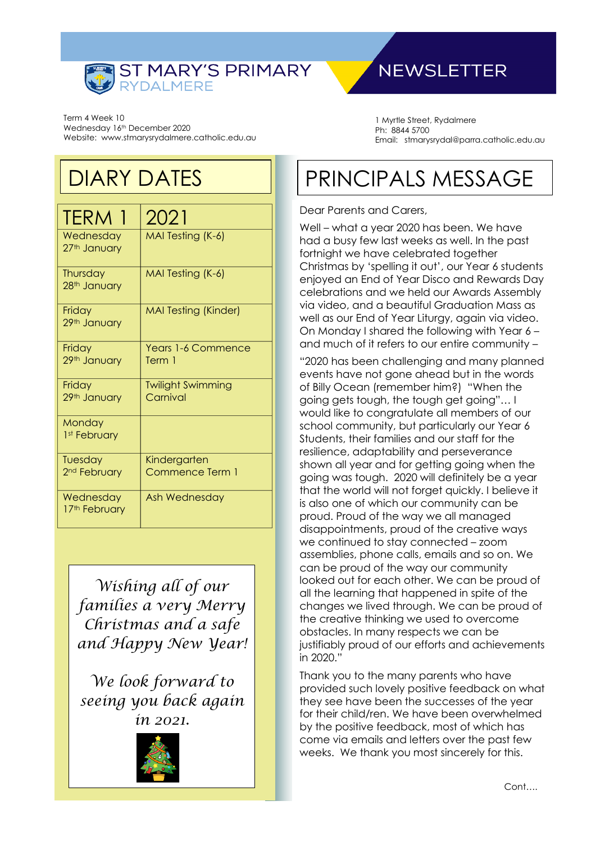

### **NEWSLETTER**

Term 4 Week 10 Wednesday 16th December 2020 Website: www.stmarysrydalmere.catholic.edu.au

### DIARY DATES

| <b>TERM 1</b>                       | 2021                                 |
|-------------------------------------|--------------------------------------|
| Wednesday<br>27th January           | MAI Testing (K-6)                    |
| Thursday<br>28th January            | MAI Testing (K-6)                    |
| Friday<br>29th January              | <b>MAI Testing (Kinder)</b>          |
| Friday<br>29th January              | Years 1-6 Commence<br>Term 1         |
| Friday<br>29th January              | <b>Twilight Swimming</b><br>Carnival |
| Monday<br>1st February              |                                      |
| Tuesday<br>2 <sup>nd</sup> February | Kindergarten<br>Commence Term 1      |
| Wednesday<br>17th February          | Ash Wednesday                        |

*Wishing all of our families a very Merry Christmas and a safe and Happy New Year!*

*We look forward to seeing you back again in 2021.*



1 Myrtle Street, Rydalmere Ph: 8844 5700 Email: stmarysrydal@parra.catholic.edu.au

# PRINCIPALS MESSAGE

#### Dear Parents and Carers,

Well – what a year 2020 has been. We have had a busy few last weeks as well. In the past fortnight we have celebrated together Christmas by 'spelling it out', our Year 6 students enjoyed an End of Year Disco and Rewards Day celebrations and we held our Awards Assembly via video, and a beautiful Graduation Mass as well as our End of Year Liturgy, again via video. On Monday I shared the following with Year 6 – and much of it refers to our entire community –

"2020 has been challenging and many planned events have not gone ahead but in the words of Billy Ocean (remember him?) "When the going gets tough, the tough get going"… I would like to congratulate all members of our school community, but particularly our Year 6 Students, their families and our staff for the resilience, adaptability and perseverance shown all year and for getting going when the going was tough. 2020 will definitely be a year that the world will not forget quickly. I believe it is also one of which our community can be proud. Proud of the way we all managed disappointments, proud of the creative ways we continued to stay connected – zoom assemblies, phone calls, emails and so on. We can be proud of the way our community looked out for each other. We can be proud of all the learning that happened in spite of the changes we lived through. We can be proud of the creative thinking we used to overcome obstacles. In many respects we can be justifiably proud of our efforts and achievements in 2020."

Thank you to the many parents who have provided such lovely positive feedback on what they see have been the successes of the year for their child/ren. We have been overwhelmed by the positive feedback, most of which has come via emails and letters over the past few weeks. We thank you most sincerely for this.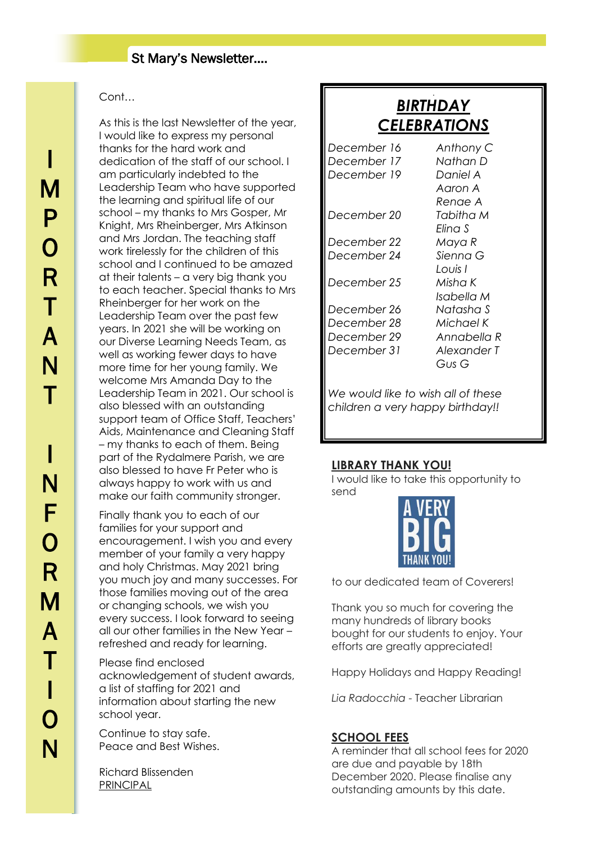#### Cont…

As this is the last Newsletter of the year, I would like to express my personal thanks for the hard work and dedication of the staff of our school. I am particularly indebted to the Leadership Team who have supported the learning and spiritual life of our school – my thanks to Mrs Gosper, Mr Knight, Mrs Rheinberger, Mrs Atkinson and Mrs Jordan. The teaching staff work tirelessly for the children of this school and I continued to be amazed at their talents – a very big thank you to each teacher. Special thanks to Mrs Rheinberger for her work on the Leadership Team over the past few years. In 2021 she will be working on our Diverse Learning Needs Team, as well as working fewer days to have more time for her young family. We welcome Mrs Amanda Day to the Leadership Team in 2021. Our school is also blessed with an outstanding support team of Office Staff, Teachers' Aids, Maintenance and Cleaning Staff – my thanks to each of them. Being part of the Rydalmere Parish, we are also blessed to have Fr Peter who is always happy to work with us and make our faith community stronger.

Finally thank you to each of our families for your support and encouragement. I wish you and every member of your family a very happy and holy Christmas. May 2021 bring you much joy and many successes. For those families moving out of the area or changing schools, we wish you every success. I look forward to seeing all our other families in the New Year – refreshed and ready for learning.

Please find enclosed acknowledgement of student awards, a list of staffing for 2021 and information about starting the new school year.

Continue to stay safe. Peace and Best Wishes.

Richard Blissenden PRINCIPAL

### *BIRTHDAY CELEBRATIONS*

J

| December 16                        | Anthony C   |
|------------------------------------|-------------|
| December 17                        | Nathan D    |
| December 19                        | Daniel A    |
|                                    | Aaron A     |
|                                    | Renae A     |
| December 20                        | Tabitha M   |
|                                    | Flina S     |
| December 22                        | Maya R      |
| December 24                        | Sienna G    |
|                                    | Louis I     |
| December 25                        | Misha K     |
|                                    | Isabella M  |
| December 26                        | Natasha S   |
| December 28                        | Michael K   |
| December 29                        | Annabella R |
| December 31                        | Alexander T |
|                                    | Gus G       |
|                                    |             |
| We would like to wish all of these |             |
| children a very happy birthday!!   |             |

#### **LIBRARY THANK YOU!**

I would like to take this opportunity to send



to our dedicated team of Coverers!

Thank you so much for covering the many hundreds of library books bought for our students to enjoy. Your efforts are greatly appreciated!

Happy Holidays and Happy Reading!

*Lia Radocchia* - Teacher Librarian

#### **SCHOOL FEES**

A reminder that all school fees for 2020 are due and payable by 18th December 2020. Please finalise any outstanding amounts by this date.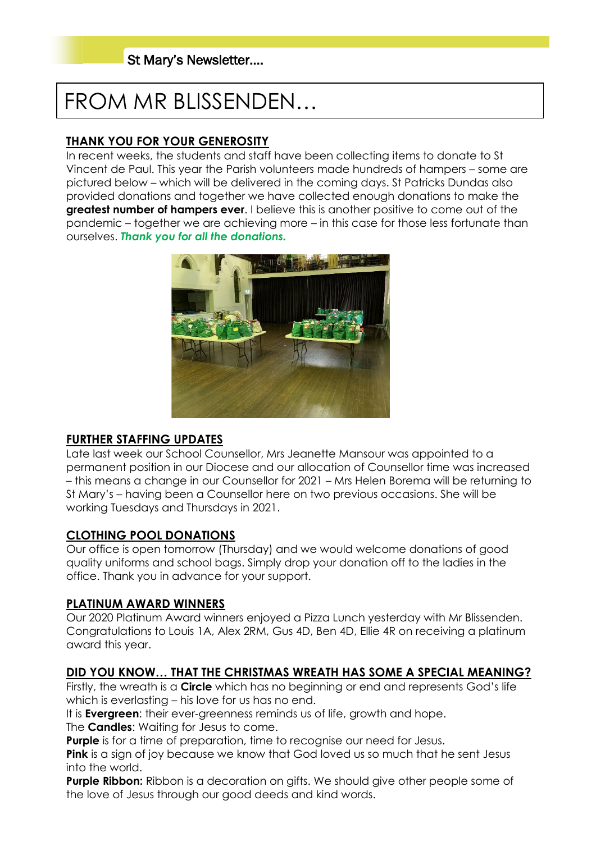## FROM MR BLISSENDEN…

#### **THANK YOU FOR YOUR GENEROSITY**

In recent weeks, the students and staff have been collecting items to donate to St Vincent de Paul. This year the Parish volunteers made hundreds of hampers – some are pictured below – which will be delivered in the coming days. St Patricks Dundas also provided donations and together we have collected enough donations to make the **greatest number of hampers ever**. I believe this is another positive to come out of the pandemic – together we are achieving more – in this case for those less fortunate than ourselves. *Thank you for all the donations.*



#### **FURTHER STAFFING UPDATES**

Late last week our School Counsellor, Mrs Jeanette Mansour was appointed to a permanent position in our Diocese and our allocation of Counsellor time was increased – this means a change in our Counsellor for 2021 – Mrs Helen Borema will be returning to St Mary's – having been a Counsellor here on two previous occasions. She will be working Tuesdays and Thursdays in 2021.

#### **CLOTHING POOL DONATIONS**

Our office is open tomorrow (Thursday) and we would welcome donations of good quality uniforms and school bags. Simply drop your donation off to the ladies in the office. Thank you in advance for your support.

#### **PLATINUM AWARD WINNERS**

Our 2020 Platinum Award winners enjoyed a Pizza Lunch yesterday with Mr Blissenden. Congratulations to Louis 1A, Alex 2RM, Gus 4D, Ben 4D, Ellie 4R on receiving a platinum award this year.

#### **DID YOU KNOW… THAT THE CHRISTMAS WREATH HAS SOME A SPECIAL MEANING?**

Firstly, the wreath is a **Circle** which has no beginning or end and represents God's life which is everlasting – his love for us has no end.

It is **Evergreen**: their ever-greenness reminds us of life, growth and hope.

The **Candles**: Waiting for Jesus to come.

**Purple** is for a time of preparation, time to recognise our need for Jesus.

**Pink** is a sign of joy because we know that God loved us so much that he sent Jesus into the world.

**Purple Ribbon:** Ribbon is a decoration on gifts. We should give other people some of the love of Jesus through our good deeds and kind words.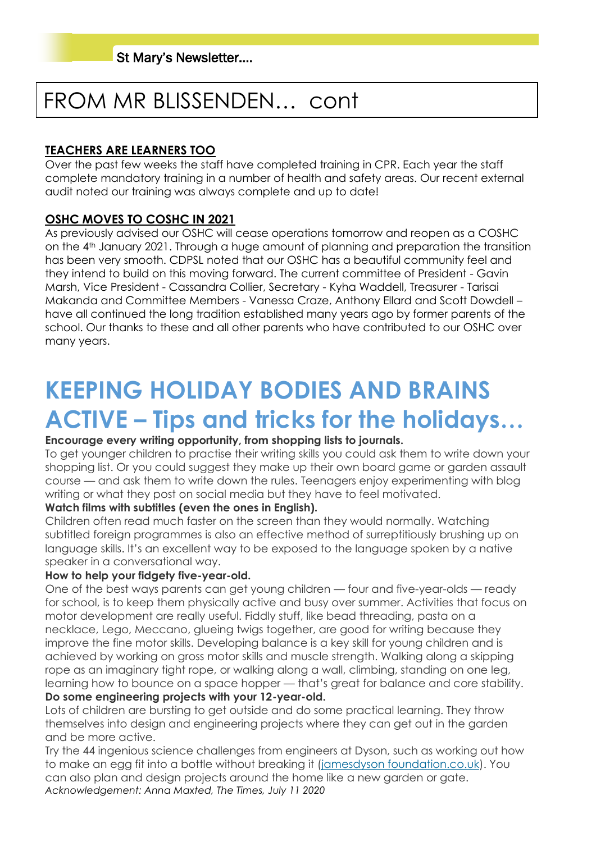## FROM MR BLISSENDEN… cont

#### **TEACHERS ARE LEARNERS TOO**

Over the past few weeks the staff have completed training in CPR. Each year the staff complete mandatory training in a number of health and safety areas. Our recent external audit noted our training was always complete and up to date!

#### **OSHC MOVES TO COSHC IN 2021**

As previously advised our OSHC will cease operations tomorrow and reopen as a COSHC on the 4th January 2021. Through a huge amount of planning and preparation the transition has been very smooth. CDPSL noted that our OSHC has a beautiful community feel and they intend to build on this moving forward. The current committee of President - Gavin Marsh, Vice President - Cassandra Collier, Secretary - Kyha Waddell, Treasurer - Tarisai Makanda and Committee Members - Vanessa Craze, Anthony Ellard and Scott Dowdell – have all continued the long tradition established many years ago by former parents of the school. Our thanks to these and all other parents who have contributed to our OSHC over many years.

# **KEEPING HOLIDAY BODIES AND BRAINS ACTIVE – Tips and tricks for the holidays…**

#### **Encourage every writing opportunity, from shopping lists to journals.**

To get younger children to practise their writing skills you could ask them to write down your shopping list. Or you could suggest they make up their own board game or garden assault course — and ask them to write down the rules. Teenagers enjoy experimenting with blog writing or what they post on social media but they have to feel motivated.

#### **Watch films with subtitles (even the ones in English).**

Children often read much faster on the screen than they would normally. Watching subtitled foreign programmes is also an effective method of surreptitiously brushing up on language skills. It's an excellent way to be exposed to the language spoken by a native speaker in a conversational way.

#### **How to help your fidgety five-year-old.**

One of the best ways parents can get young children — four and five-year-olds — ready for school, is to keep them physically active and busy over summer. Activities that focus on motor development are really useful. Fiddly stuff, like bead threading, pasta on a necklace, Lego, Meccano, glueing twigs together, are good for writing because they improve the fine motor skills. Developing balance is a key skill for young children and is achieved by working on gross motor skills and muscle strength. Walking along a skipping rope as an imaginary tight rope, or walking along a wall, climbing, standing on one leg, learning how to bounce on a space hopper — that's great for balance and core stability.

#### **Do some engineering projects with your 12-year-old.**

Lots of children are bursting to get outside and do some practical learning. They throw themselves into design and engineering projects where they can get out in the garden and be more active.

Try the 44 ingenious science challenges from engineers at Dyson, such as working out how to make an egg fit into a bottle without breaking it [\(jamesdyson foundation.co.uk\)](https://www.jamesdysonfoundation.co.uk/). You can also plan and design projects around the home like a new garden or gate. *Acknowledgement: Anna Maxted, The Times, July 11 2020*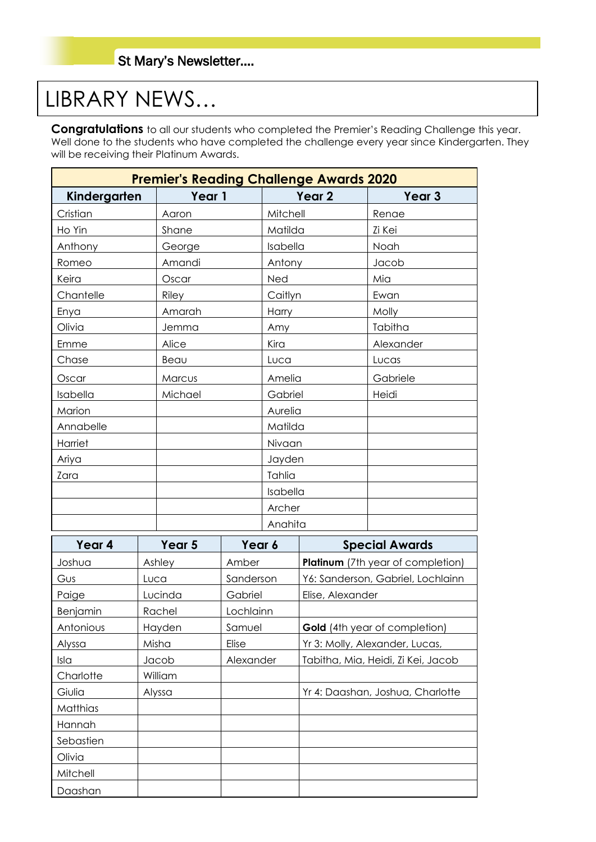## LIBRARY NEWS…

**Congratulations** to all our students who completed the Premier's Reading Challenge this year. Well done to the students who have completed the challenge every year since Kindergarten. They will be receiving their Platinum Awards.

| <b>Premier's Reading Challenge Awards 2020</b> |        |         |                   |          |                   |                                          |
|------------------------------------------------|--------|---------|-------------------|----------|-------------------|------------------------------------------|
| Kindergarten                                   | Year 1 |         | Year <sub>2</sub> |          | Year <sub>3</sub> |                                          |
| Cristian                                       |        | Aaron   |                   | Mitchell |                   | Renae                                    |
| Ho Yin                                         |        | Shane   |                   | Matilda  |                   | Zi Kei                                   |
| Anthony                                        |        | George  |                   | Isabella |                   | Noah                                     |
| Romeo                                          |        | Amandi  |                   | Antony   |                   | Jacob                                    |
| Keira                                          |        | Oscar   |                   | Ned      |                   | Mia                                      |
| Chantelle                                      |        | Riley   |                   | Caitlyn  |                   | Ewan                                     |
| Enya                                           |        | Amarah  |                   | Harry    |                   | Molly                                    |
| Olivia                                         |        | Jemma   |                   | Amy      |                   | Tabitha                                  |
| Emme                                           |        | Alice   |                   | Kira     |                   | Alexander                                |
| Chase                                          |        | Beau    |                   | Luca     |                   | Lucas                                    |
| Oscar                                          |        | Marcus  |                   | Amelia   |                   | Gabriele                                 |
| Isabella                                       |        | Michael |                   | Gabriel  |                   | Heidi                                    |
| Marion                                         |        |         |                   | Aurelia  |                   |                                          |
| Annabelle                                      |        |         |                   | Matilda  |                   |                                          |
| Harriet                                        |        |         |                   | Nivaan   |                   |                                          |
| Ariya                                          |        |         |                   | Jayden   |                   |                                          |
| Zara                                           |        |         |                   | Tahlia   |                   |                                          |
|                                                |        |         |                   | Isabella |                   |                                          |
|                                                |        |         |                   | Archer   |                   |                                          |
|                                                |        |         |                   | Anahita  |                   |                                          |
| Year 4                                         |        | Year 5  | Year 6            |          |                   | <b>Special Awards</b>                    |
| Joshua                                         |        | Ashley  | Amber             |          |                   | <b>Platinum</b> (7th year of completion) |
| Gus                                            | Luca   |         | Sanderson         |          |                   | Y6: Sanderson, Gabriel, Lochlainn        |
| Paige                                          |        | Lucinda | Gabriel           |          | Elise, Alexander  |                                          |
| Benjamin                                       |        | Rachel  | Lochlainn         |          |                   |                                          |
| Antonious                                      |        | Hayden  | Samuel            |          |                   | Gold (4th year of completion)            |
| Alyssa                                         |        | Misha   | Elise             |          |                   | Yr 3: Molly, Alexander, Lucas,           |
| Isla                                           |        | Jacob   | Alexander         |          |                   | Tabitha, Mia, Heidi, Zi Kei, Jacob       |
| Charlotte                                      |        | William |                   |          |                   |                                          |
| Giulia                                         |        | Alyssa  |                   |          |                   | Yr 4: Daashan, Joshua, Charlotte         |
| Matthias                                       |        |         |                   |          |                   |                                          |
| Hannah                                         |        |         |                   |          |                   |                                          |
| Sebastien                                      |        |         |                   |          |                   |                                          |
| Olivia                                         |        |         |                   |          |                   |                                          |
| Mitchell                                       |        |         |                   |          |                   |                                          |
| Daashan                                        |        |         |                   |          |                   |                                          |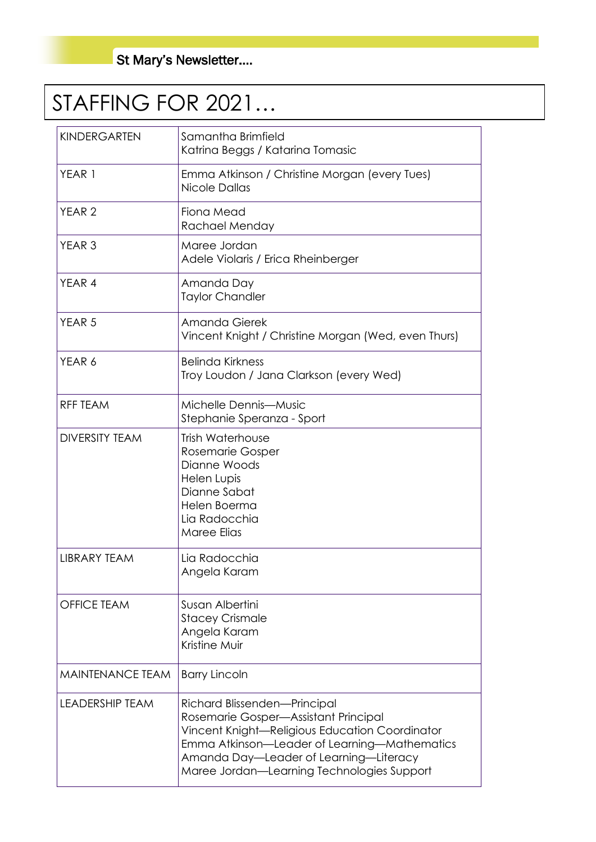# STAFFING FOR 2021…

| <b>KINDERGARTEN</b>     | Samantha Brimfield<br>Katrina Beggs / Katarina Tomasic                                                                                                                                                                                                         |  |
|-------------------------|----------------------------------------------------------------------------------------------------------------------------------------------------------------------------------------------------------------------------------------------------------------|--|
| YEAR 1                  | Emma Atkinson / Christine Morgan (every Tues)<br>Nicole Dallas                                                                                                                                                                                                 |  |
| YEAR <sub>2</sub>       | Fiona Mead<br>Rachael Menday                                                                                                                                                                                                                                   |  |
| YEAR <sub>3</sub>       | Maree Jordan<br>Adele Violaris / Erica Rheinberger                                                                                                                                                                                                             |  |
| YEAR 4                  | Amanda Day<br><b>Taylor Chandler</b>                                                                                                                                                                                                                           |  |
| YEAR <sub>5</sub>       | Amanda Gierek<br>Vincent Knight / Christine Morgan (Wed, even Thurs)                                                                                                                                                                                           |  |
| YEAR 6                  | <b>Belinda Kirkness</b><br>Troy Loudon / Jana Clarkson (every Wed)                                                                                                                                                                                             |  |
| <b>RFF TEAM</b>         | Michelle Dennis-Music<br>Stephanie Speranza - Sport                                                                                                                                                                                                            |  |
| <b>DIVERSITY TEAM</b>   | <b>Trish Waterhouse</b><br>Rosemarie Gosper<br>Dianne Woods<br><b>Helen Lupis</b><br>Dianne Sabat<br>Helen Boerma<br>Lia Radocchia<br>Maree Elias                                                                                                              |  |
| <b>LIBRARY TEAM</b>     | Lia Radocchia<br>Angela Karam                                                                                                                                                                                                                                  |  |
| <b>OFFICE TEAM</b>      | Susan Albertini<br><b>Stacey Crismale</b><br>Angela Karam<br>Kristine Muir                                                                                                                                                                                     |  |
| <b>MAINTENANCE TEAM</b> | <b>Barry Lincoln</b>                                                                                                                                                                                                                                           |  |
| <b>LEADERSHIP TEAM</b>  | Richard Blissenden-Principal<br>Rosemarie Gosper-Assistant Principal<br>Vincent Knight-Religious Education Coordinator<br>Emma Atkinson-Leader of Learning-Mathematics<br>Amanda Day-Leader of Learning-Literacy<br>Maree Jordan-Learning Technologies Support |  |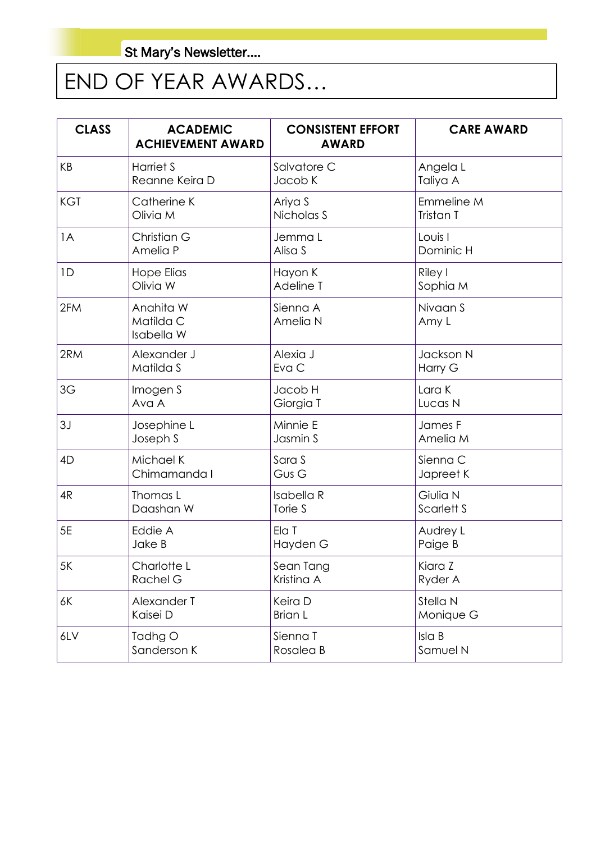# END OF YEAR AWARDS…

| <b>CLASS</b> | <b>ACADEMIC</b><br><b>ACHIEVEMENT AWARD</b> | <b>CONSISTENT EFFORT</b><br><b>AWARD</b> | <b>CARE AWARD</b> |
|--------------|---------------------------------------------|------------------------------------------|-------------------|
| KB           | Harriet S                                   | Salvatore C                              | Angela L          |
|              | Reanne Keira D                              | Jacob K                                  | Taliya A          |
| <b>KGT</b>   | Catherine K                                 | Ariya S                                  | Emmeline M        |
|              | Olivia M                                    | Nicholas S                               | Tristan T         |
| 1A           | Christian G                                 | Jemma L                                  | Louis I           |
|              | Amelia P                                    | Alisa S                                  | Dominic H         |
| 1D           | <b>Hope Elias</b>                           | Hayon K                                  | Riley I           |
|              | Olivia W                                    | Adeline T                                | Sophia M          |
| 2FM          | Anahita W<br>Matilda C<br>Isabella W        | Sienna A<br>Amelia N                     | Nivaan S<br>Amy L |
| 2RM          | Alexander J                                 | Alexia J                                 | Jackson N         |
|              | Matilda S                                   | Eva C                                    | Harry G           |
| 3G           | Imogen S                                    | Jacob H                                  | Lara K            |
|              | Ava A                                       | Giorgia T                                | Lucas N           |
| 3J           | Josephine L                                 | Minnie E                                 | James F           |
|              | Joseph S                                    | Jasmin S                                 | Amelia M          |
| 4D           | Michael K                                   | Sara S                                   | Sienna C          |
|              | Chimamanda I                                | Gus G                                    | Japreet K         |
| 4R           | Thomas L                                    | <b>Isabella R</b>                        | Giulia N          |
|              | Daashan W                                   | Torie S                                  | Scarlett S        |
| 5E           | Eddie A                                     | Ela T                                    | Audrey L          |
|              | Jake B                                      | Hayden G                                 | Paige B           |
| 5K           | Charlotte L                                 | Sean Tang                                | Kiara Z           |
|              | Rachel G                                    | Kristina A                               | Ryder A           |
| 6K           | Alexander T                                 | Keira D                                  | Stella N          |
|              | Kaisei D                                    | <b>Brian L</b>                           | Monique G         |
| 6LV          | Tadhg O                                     | Sienna T                                 | Isla B            |
|              | Sanderson K                                 | Rosalea B                                | Samuel N          |